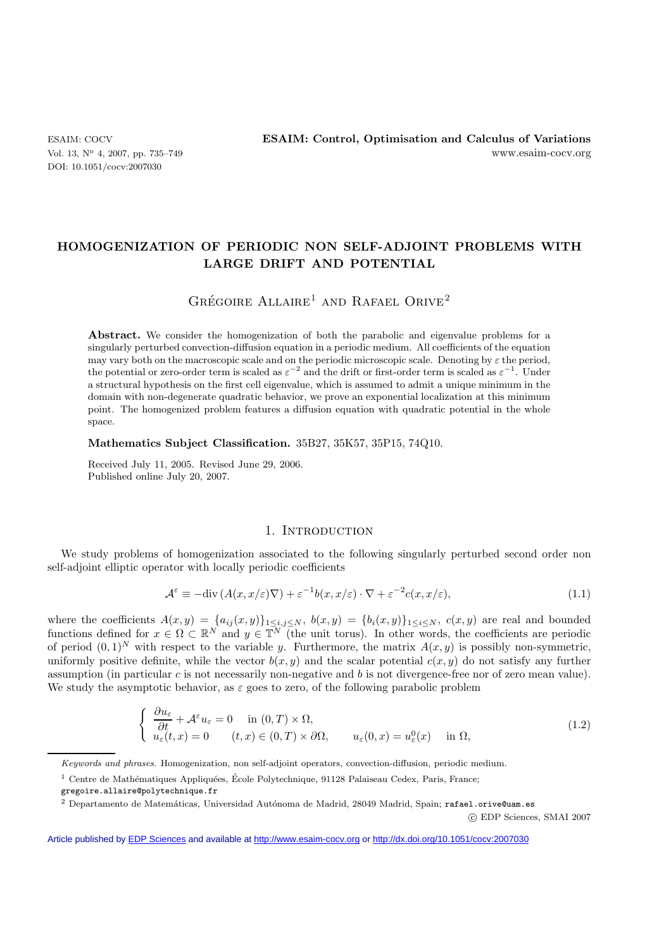DOI: 10.1051/cocv:2007030

# **HOMOGENIZATION OF PERIODIC NON SELF-ADJOINT PROBLEMS WITH LARGE DRIFT AND POTENTIAL**

# GRÉGOIRE  $ALL A I R E<sup>1</sup>$  AND RAFAEL ORIVE<sup>2</sup>

Abstract. We consider the homogenization of both the parabolic and eigenvalue problems for a singularly perturbed convection-diffusion equation in a periodic medium. All coefficients of the equation may vary both on the macroscopic scale and on the periodic microscopic scale. Denoting by  $\varepsilon$  the period, the potential or zero-order term is scaled as  $\varepsilon^{-2}$  and the drift or first-order term is scaled as  $\varepsilon^{-1}$ . Under a structural hypothesis on the first cell eigenvalue, which is assumed to admit a unique minimum in the domain with non-degenerate quadratic behavior, we prove an exponential localization at this minimum point. The homogenized problem features a diffusion equation with quadratic potential in the whole space.

## **Mathematics Subject Classification.** 35B27, 35K57, 35P15, 74Q10.

Received July 11, 2005. Revised June 29, 2006. Published online July 20, 2007.

#### 1. INTRODUCTION

We study problems of homogenization associated to the following singularly perturbed second order non self-adjoint elliptic operator with locally periodic coefficients

$$
\mathcal{A}^{\varepsilon} \equiv -\text{div}\left(A(x, x/\varepsilon)\nabla\right) + \varepsilon^{-1}b(x, x/\varepsilon)\cdot\nabla + \varepsilon^{-2}c(x, x/\varepsilon),\tag{1.1}
$$

where the coefficients  $A(x, y) = \{a_{ij}(x, y)\}_{1 \le i,j \le N}$ ,  $b(x, y) = \{b_i(x, y)\}_{1 \le i \le N}$ ,  $c(x, y)$  are real and bounded functions defined for  $x \in \Omega \subset \mathbb{R}^N$  and  $y \in \mathbb{T}^N$  (the unit torus). In other words, the coefficients are periodic of period  $(0, 1)^N$  with respect to the variable y. Furthermore, the matrix  $A(x, y)$  is possibly non-symmetric, uniformly positive definite, while the vector  $b(x, y)$  and the scalar potential  $c(x, y)$  do not satisfy any further assumption (in particular c is not necessarily non-negative and b is not divergence-free nor of zero mean value). We study the asymptotic behavior, as  $\varepsilon$  goes to zero, of the following parabolic problem

$$
\begin{cases}\n\frac{\partial u_{\varepsilon}}{\partial t} + \mathcal{A}^{\varepsilon} u_{\varepsilon} = 0 & \text{in } (0, T) \times \Omega, \\
u_{\varepsilon}(t, x) = 0 & (t, x) \in (0, T) \times \partial \Omega,\n\end{cases}\n\quad u_{\varepsilon}(0, x) = u_{\varepsilon}^{0}(x) \quad \text{in } \Omega,
$$
\n(1.2)

c EDP Sciences, SMAI 2007

Keywords and phrases. Homogenization, non self-adjoint operators, convection-diffusion, periodic medium.

 $^1$  Centre de Mathématiques Appliquées, École Polytechnique, 91128 Palaiseau Cedex, Paris, France; gregoire.allaire@polytechnique.fr

e<br><sup>2</sup> Departamento de Matemáticas, Universidad Autónoma de Madrid, 28049 Madrid, Spain; rafael.orive@uam.es

Article published by [EDP Sciences](http://www.edpsciences.org) and available at<http://www.esaim-cocv.org> or <http://dx.doi.org/10.1051/cocv:2007030>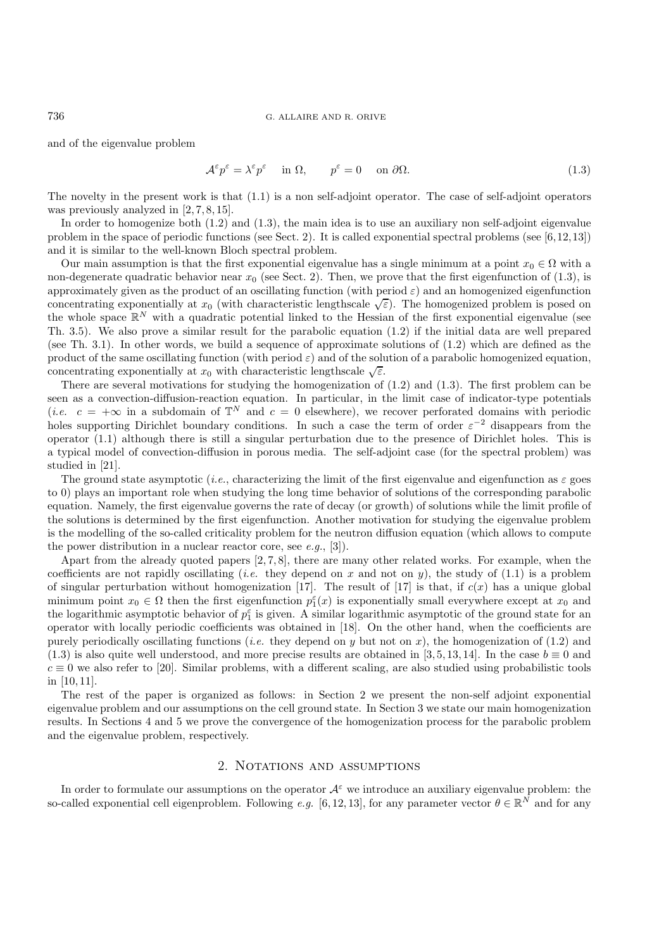#### 736 G. ALLAIRE AND R. ORIVE

and of the eigenvalue problem

$$
\mathcal{A}^{\varepsilon} p^{\varepsilon} = \lambda^{\varepsilon} p^{\varepsilon} \quad \text{in } \Omega, \qquad p^{\varepsilon} = 0 \quad \text{on } \partial \Omega. \tag{1.3}
$$

The novelty in the present work is that (1.1) is a non self-adjoint operator. The case of self-adjoint operators was previously analyzed in [2, 7, 8, 15].

In order to homogenize both (1.2) and (1.3), the main idea is to use an auxiliary non self-adjoint eigenvalue problem in the space of periodic functions (see Sect. 2). It is called exponential spectral problems (see [6,12,13]) and it is similar to the well-known Bloch spectral problem.

Our main assumption is that the first exponential eigenvalue has a single minimum at a point  $x_0 \in \Omega$  with a non-degenerate quadratic behavior near  $x_0$  (see Sect. 2). Then, we prove that the first eigenfunction of (1.3), is approximately given as the product of an oscillating function (with period  $\varepsilon$ ) and an homogenized eigenfunction concentrating exponentially at  $x_0$  (with characteristic lengthscale  $\sqrt{\varepsilon}$ ). The homogenized problem is posed on the whole space  $\mathbb{R}^N$  with a quadratic potential linked to the Hessian of the first exponential eigenvalue (see Th. 3.5). We also prove a similar result for the parabolic equation (1.2) if the initial data are well prepared (see Th. 3.1). In other words, we build a sequence of approximate solutions of (1.2) which are defined as the product of the same oscillating function (with period  $\varepsilon$ ) and of the solution of a parabolic homogenized equation, concentrating exponentially at  $x_0$  with characteristic lengthscale  $\sqrt{\varepsilon}$ .

There are several motivations for studying the homogenization of (1.2) and (1.3). The first problem can be seen as a convection-diffusion-reaction equation. In particular, in the limit case of indicator-type potentials (*i.e.*  $c = +\infty$  in a subdomain of  $\mathbb{T}^N$  and  $c = 0$  elsewhere), we recover perforated domains with periodic holes supporting Dirichlet boundary conditions. In such a case the term of order  $\varepsilon^{-2}$  disappears from the operator (1.1) although there is still a singular perturbation due to the presence of Dirichlet holes. This is a typical model of convection-diffusion in porous media. The self-adjoint case (for the spectral problem) was studied in [21].

The ground state asymptotic (*i.e.*, characterizing the limit of the first eigenvalue and eigenfunction as  $\varepsilon$  goes to 0) plays an important role when studying the long time behavior of solutions of the corresponding parabolic equation. Namely, the first eigenvalue governs the rate of decay (or growth) of solutions while the limit profile of the solutions is determined by the first eigenfunction. Another motivation for studying the eigenvalue problem is the modelling of the so-called criticality problem for the neutron diffusion equation (which allows to compute the power distribution in a nuclear reactor core, see *e.g.*, [3]).

Apart from the already quoted papers  $[2, 7, 8]$ , there are many other related works. For example, when the coefficients are not rapidly oscillating (*i.e.* they depend on x and not on y), the study of (1.1) is a problem of singular perturbation without homogenization [17]. The result of [17] is that, if  $c(x)$  has a unique global minimum point  $x_0 \in \Omega$  then the first eigenfunction  $p_1^{\varepsilon}(x)$  is exponentially small everywhere except at  $x_0$  and the logarithmic asymptotic behavior of  $p_1^{\varepsilon}$  is given. A similar logarithmic asymptotic of the ground state for an operator with locally periodic coefficients was obtained in [18]. On the other hand, when the coefficients are purely periodically oscillating functions (*i.e.* they depend on y but not on x), the homogenization of  $(1.2)$  and (1.3) is also quite well understood, and more precise results are obtained in [3, 5, 13, 14]. In the case  $b \equiv 0$  and  $c \equiv 0$  we also refer to [20]. Similar problems, with a different scaling, are also studied using probabilistic tools in  $[10, 11]$ .

The rest of the paper is organized as follows: in Section 2 we present the non-self adjoint exponential eigenvalue problem and our assumptions on the cell ground state. In Section 3 we state our main homogenization results. In Sections 4 and 5 we prove the convergence of the homogenization process for the parabolic problem and the eigenvalue problem, respectively.

#### 2. NOTATIONS AND ASSUMPTIONS

In order to formulate our assumptions on the operator  $A^{\varepsilon}$  we introduce an auxiliary eigenvalue problem: the so-called exponential cell eigenproblem. Following *e.g.* [6, 12, 13], for any parameter vector  $\theta \in \mathbb{R}^N$  and for any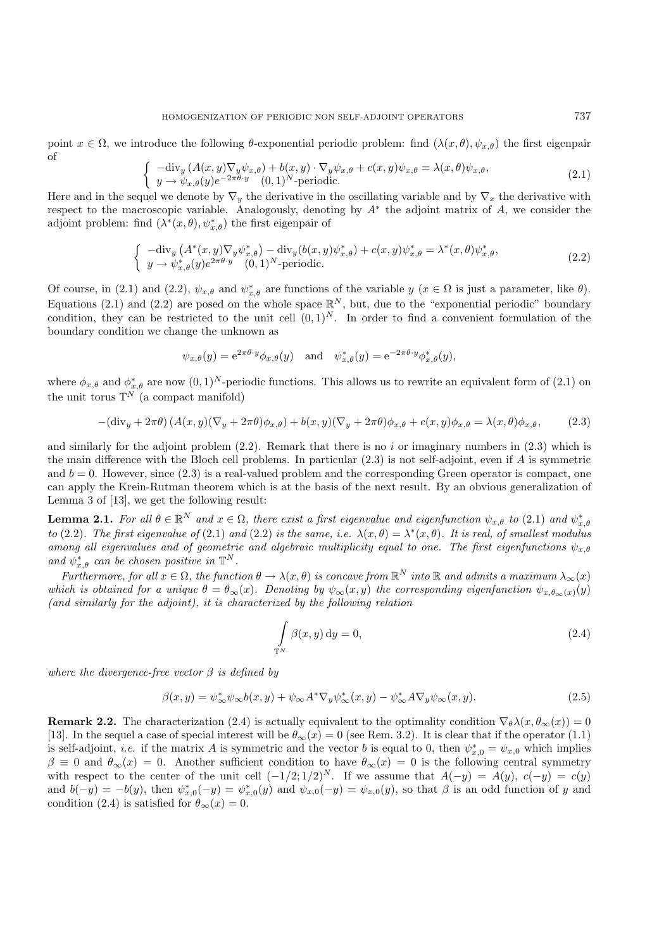point  $x \in \Omega$ , we introduce the following  $\theta$ -exponential periodic problem: find  $(\lambda(x, \theta), \psi_{x, \theta})$  the first eigenpair of

$$
\begin{cases}\n-\text{div}_y \left( A(x, y) \nabla_y \psi_{x, \theta} \right) + b(x, y) \cdot \nabla_y \psi_{x, \theta} + c(x, y) \psi_{x, \theta} = \lambda(x, \theta) \psi_{x, \theta}, \\
y \to \psi_{x, \theta}(y) e^{-2\pi \theta \cdot y} \quad (0, 1)^N \text{-periodic}.\n\end{cases} \tag{2.1}
$$

Here and in the sequel we denote by  $\nabla_y$  the derivative in the oscillating variable and by  $\nabla_x$  the derivative with respect to the macroscopic variable. Analogously, denoting by  $A^*$  the adjoint matrix of A, we consider the adjoint problem: find  $(\lambda^*(x, \theta), \psi^*_{x, \theta})$  the first eigenpair of

$$
\begin{cases}\n-\text{div}_y \left( A^*(x, y) \nabla_y \psi_{x, \theta}^* \right) - \text{div}_y (b(x, y) \psi_{x, \theta}^*) + c(x, y) \psi_{x, \theta}^* = \lambda^*(x, \theta) \psi_{x, \theta}^*, \\
y \to \psi_{x, \theta}^*(y) e^{2\pi \theta \cdot y} (0, 1)^N \text{-periodic.}\n\end{cases} \tag{2.2}
$$

Of course, in (2.1) and (2.2),  $\psi_{x,\theta}$  and  $\psi_{x,\theta}^*$  are functions of the variable  $y$  ( $x \in \Omega$  is just a parameter, like  $\theta$ ). Equations (2.1) and (2.2) are posed on the whole space  $\mathbb{R}^N$ , but, due to the "exponential periodic" boundary condition, they can be restricted to the unit cell  $(0, 1)^N$ . In order to find a convenient formulation of the boundary condition we change the unknown as

$$
\psi_{x,\theta}(y) = e^{2\pi \theta \cdot y} \phi_{x,\theta}(y)
$$
 and  $\psi_{x,\theta}^*(y) = e^{-2\pi \theta \cdot y} \phi_{x,\theta}^*(y)$ ,

where  $\phi_{x,\theta}$  and  $\phi_{x,\theta}^*$  are now  $(0,1)^N$ -periodic functions. This allows us to rewrite an equivalent form of  $(2.1)$  on the unit torus  $\mathbb{T}^N$  (a compact manifold)

$$
-(\text{div}_y + 2\pi\theta) \left( A(x, y)(\nabla_y + 2\pi\theta) \phi_{x, \theta} \right) + b(x, y)(\nabla_y + 2\pi\theta) \phi_{x, \theta} + c(x, y)\phi_{x, \theta} = \lambda(x, \theta)\phi_{x, \theta}, \quad (2.3)
$$

and similarly for the adjoint problem  $(2.2)$ . Remark that there is no i or imaginary numbers in  $(2.3)$  which is the main difference with the Bloch cell problems. In particular (2.3) is not self-adjoint, even if A is symmetric and  $b = 0$ . However, since  $(2.3)$  is a real-valued problem and the corresponding Green operator is compact, one can apply the Krein-Rutman theorem which is at the basis of the next result. By an obvious generalization of Lemma 3 of [13], we get the following result:

**Lemma 2.1.** For all  $\theta \in \mathbb{R}^N$  and  $x \in \Omega$ , there exist a first eigenvalue and eigenfunction  $\psi_{x,\theta}$  to (2.1) and  $\psi_{x,\theta}^*$ *to* (2.2)*.* The first eigenvalue of (2.1) and (2.2) is the same, i.e.  $\lambda(x,\theta) = \lambda^*(x,\theta)$ . It is real, of smallest modulus *among all eigenvalues and of geometric and algebraic multiplicity equal to one. The first eigenfunctions*  $\psi_{x,\theta}$ and  $\psi_{x,\theta}^*$  *can be chosen positive in*  $\mathbb{T}^N$ *.* 

 $Furthermore, for all  $x \in \Omega$ , the function  $\theta \to \lambda(x, \theta)$  is concave from  $\mathbb{R}^N$  into  $\mathbb{R}$  and admits a maximum  $\lambda_{\infty}(x)$$ *which is obtained for a unique*  $\theta = \theta_{\infty}(x)$ *. Denoting by*  $\psi_{\infty}(x, y)$  *the corresponding eigenfunction*  $\psi_{x, \theta_{\infty}(x)}(y)$ *(and similarly for the adjoint), it is characterized by the following relation*

$$
\int_{\mathbb{T}^N} \beta(x, y) \, \mathrm{d}y = 0,\tag{2.4}
$$

*where the divergence-free vector*  $\beta$  *is defined by* 

$$
\beta(x,y) = \psi_{\infty}^* \psi_{\infty} b(x,y) + \psi_{\infty} A^* \nabla_y \psi_{\infty}^*(x,y) - \psi_{\infty}^* A \nabla_y \psi_{\infty}(x,y). \tag{2.5}
$$

**Remark 2.2.** The characterization (2.4) is actually equivalent to the optimality condition  $\nabla_{\theta} \lambda(x, \theta_{\infty}(x)) = 0$ [13]. In the sequel a case of special interest will be  $\theta_{\infty}(x) = 0$  (see Rem. 3.2). It is clear that if the operator (1.1) is self-adjoint, *i.e.* if the matrix A is symmetric and the vector b is equal to 0, then  $\psi_{x,0}^* = \psi_{x,0}$  which implies  $\beta \equiv 0$  and  $\theta_{\infty}(x) = 0$ . Another sufficient condition to have  $\theta_{\infty}(x) = 0$  is the following central symmetry with respect to the center of the unit cell  $(-1/2; 1/2)^N$ . If we assume that  $A(-y) = A(y)$ ,  $c(-y) = c(y)$ and  $b(-y) = -b(y)$ , then  $\psi_{x,0}^*(-y) = \psi_{x,0}^*(y)$  and  $\psi_{x,0}(-y) = \psi_{x,0}(y)$ , so that  $\beta$  is an odd function of y and condition (2.4) is satisfied for  $\theta_{\infty}(x) = 0$ .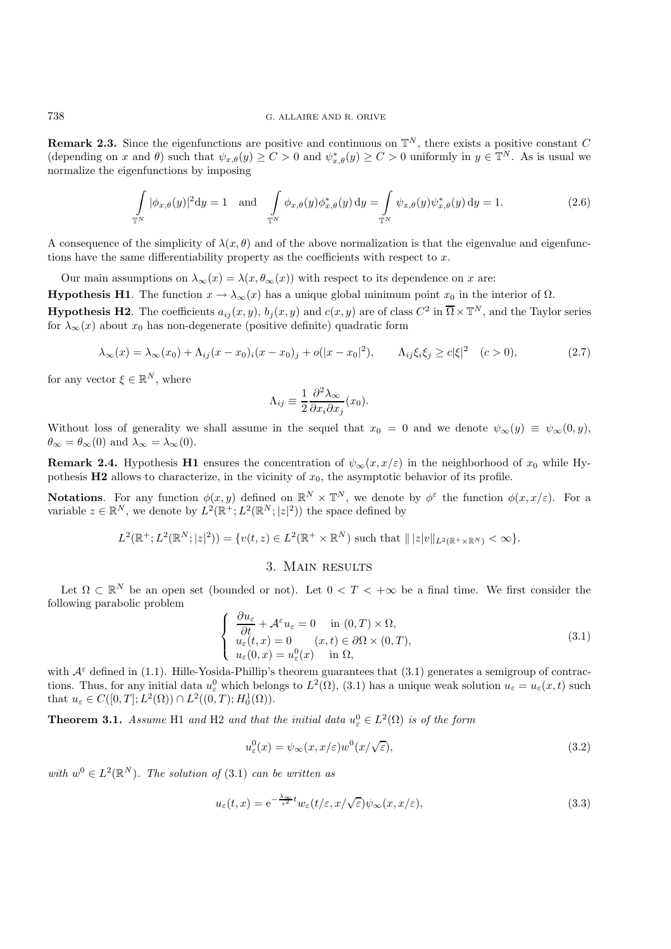**Remark 2.3.** Since the eigenfunctions are positive and continuous on  $\mathbb{T}^N$ , there exists a positive constant C (depending on x and  $\theta$ ) such that  $\psi_{x,\theta}(y) \geq C > 0$  and  $\psi_{x,\theta}^*(y) \geq C > 0$  uniformly in  $y \in \mathbb{T}^N$ . As is usual we normalize the eigenfunctions by imposing

$$
\int_{\mathbb{T}^N} |\phi_{x,\theta}(y)|^2 dy = 1 \quad \text{and} \quad \int_{\mathbb{T}^N} \phi_{x,\theta}(y) \phi_{x,\theta}^*(y) dy = \int_{\mathbb{T}^N} \psi_{x,\theta}(y) \psi_{x,\theta}^*(y) dy = 1.
$$
\n(2.6)

A consequence of the simplicity of  $\lambda(x, \theta)$  and of the above normalization is that the eigenvalue and eigenfunctions have the same differentiability property as the coefficients with respect to x.

Our main assumptions on  $\lambda_{\infty}(x) = \lambda(x, \theta_{\infty}(x))$  with respect to its dependence on x are: **Hypothesis H1**. The function  $x \to \lambda_{\infty}(x)$  has a unique global minimum point  $x_0$  in the interior of  $\Omega$ . **Hypothesis H2**. The coefficients  $a_{ij}(x, y)$ ,  $b_j(x, y)$  and  $c(x, y)$  are of class  $C^2$  in  $\overline{\Omega} \times \mathbb{T}^N$ , and the Taylor series

for  $\lambda_{\infty}(x)$  about  $x_0$  has non-degenerate (positive definite) quadratic form

$$
\lambda_{\infty}(x) = \lambda_{\infty}(x_0) + \Lambda_{ij}(x - x_0)_i(x - x_0)_j + o(|x - x_0|^2), \qquad \Lambda_{ij}\xi_i\xi_j \ge c|\xi|^2 \quad (c > 0),
$$
\n(2.7)

for any vector  $\xi \in \mathbb{R}^N$ , where

$$
\Lambda_{ij} \equiv \frac{1}{2} \frac{\partial^2 \lambda_{\infty}}{\partial x_i \partial x_j}(x_0).
$$

Without loss of generality we shall assume in the sequel that  $x_0 = 0$  and we denote  $\psi_{\infty}(y) \equiv \psi_{\infty}(0, y)$ ,  $\theta_{\infty} = \theta_{\infty}(0)$  and  $\lambda_{\infty} = \lambda_{\infty}(0)$ .

**Remark 2.4.** Hypothesis **H1** ensures the concentration of  $\psi_{\infty}(x, x/\varepsilon)$  in the neighborhood of  $x_0$  while Hypothesis **H2** allows to characterize, in the vicinity of  $x_0$ , the asymptotic behavior of its profile.

**Notations**. For any function  $\phi(x, y)$  defined on  $\mathbb{R}^N \times \mathbb{T}^N$ , we denote by  $\phi^{\varepsilon}$  the function  $\phi(x, x/\varepsilon)$ . For a variable  $z \in \mathbb{R}^N$ , we denote by  $L^2(\mathbb{R}^+; L^2(\mathbb{R}^N; |z|^2))$  the space defined by

$$
L^{2}(\mathbb{R}^{+};L^{2}(\mathbb{R}^{N};|z|^{2})) = \{v(t,z) \in L^{2}(\mathbb{R}^{+} \times \mathbb{R}^{N}) \text{ such that } |||z|v||_{L^{2}(\mathbb{R}^{+} \times \mathbb{R}^{N})} < \infty\}.
$$

# 3. Main results

Let  $\Omega \subset \mathbb{R}^N$  be an open set (bounded or not). Let  $0 < T < +\infty$  be a final time. We first consider the following parabolic problem

$$
\begin{cases}\n\frac{\partial u_{\varepsilon}}{\partial t} + \mathcal{A}^{\varepsilon} u_{\varepsilon} = 0 \quad \text{in } (0, T) \times \Omega, \\
u_{\varepsilon}(t, x) = 0 \quad (x, t) \in \partial \Omega \times (0, T), \\
u_{\varepsilon}(0, x) = u_{\varepsilon}^{0}(x) \quad \text{in } \Omega,\n\end{cases}
$$
\n(3.1)

with  $\mathcal{A}^{\varepsilon}$  defined in (1.1). Hille-Yosida-Phillip's theorem guarantees that (3.1) generates a semigroup of contractions. Thus, for any initial data  $u_{\varepsilon}^0$  which belongs to  $L^2(\Omega)$ , (3.1) has a unique weak solution  $u_{\varepsilon} = u_{\varepsilon}(x, t)$  such that  $u_{\varepsilon} \in C([0, T]; L^2(\Omega)) \cap L^2((0, T); H_0^1(\Omega)).$ 

**Theorem 3.1.** *Assume* H1 *and* H2 *and that the initial data*  $u_{\varepsilon}^0 \in L^2(\Omega)$  *is of the form* 

$$
u_{\varepsilon}^{0}(x) = \psi_{\infty}(x, x/\varepsilon)w^{0}(x/\sqrt{\varepsilon}),
$$
\n(3.2)

*with*  $w^0 \in L^2(\mathbb{R}^N)$ *. The solution of* (3.1) *can be written as* 

$$
u_{\varepsilon}(t,x) = e^{-\frac{\lambda_{\infty}}{\varepsilon^2}t} w_{\varepsilon}(t/\varepsilon, x/\sqrt{\varepsilon}) \psi_{\infty}(x, x/\varepsilon), \qquad (3.3)
$$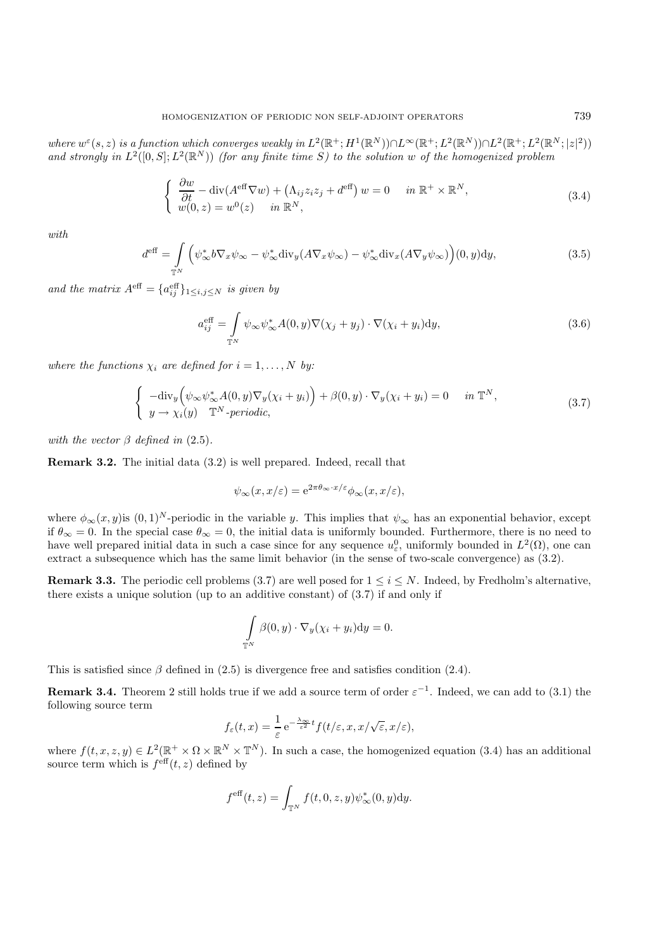*where*  $w^{\varepsilon}(s, z)$  *is a function which converges weakly in*  $L^2(\mathbb{R}^+; H^1(\mathbb{R}^N)) \cap L^{\infty}(\mathbb{R}^+; L^2(\mathbb{R}^N)) \cap L^2(\mathbb{R}^+; L^2(\mathbb{R}^N; |z|^2))$ and strongly in  $L^2([0, S]; L^2(\mathbb{R}^N))$  *(for any finite time S) to the solution* w of the homogenized problem

$$
\begin{cases}\n\frac{\partial w}{\partial t} - \operatorname{div}(A^{\text{eff}} \nabla w) + (\Lambda_{ij} z_i z_j + d^{\text{eff}}) w = 0 & \text{in } \mathbb{R}^+ \times \mathbb{R}^N, \\
w(0, z) = w^0(z) & \text{in } \mathbb{R}^N,\n\end{cases}
$$
\n(3.4)

*with*

$$
d^{\text{eff}} = \int\limits_{\mathbb{T}^N} \left( \psi^*_{\infty} b \nabla_x \psi_{\infty} - \psi^*_{\infty} \text{div}_y (A \nabla_x \psi_{\infty}) - \psi^*_{\infty} \text{div}_x (A \nabla_y \psi_{\infty}) \right) (0, y) dy,
$$
(3.5)

and the matrix  $A^{\text{eff}} = \{a_{ij}^{\text{eff}}\}_{1 \leq i,j \leq N}$  *is given by* 

$$
a_{ij}^{\text{eff}} = \int_{\mathbb{T}^N} \psi_{\infty} \psi_{\infty}^* A(0, y) \nabla (\chi_j + y_j) \cdot \nabla (\chi_i + y_i) \, dy,\tag{3.6}
$$

*where the functions*  $\chi_i$  *are defined for*  $i = 1, \ldots, N$  *by:* 

$$
\begin{cases}\n-\text{div}_y\Big(\psi_\infty\psi_\infty^*A(0,y)\nabla_y(\chi_i+y_i)\Big)+\beta(0,y)\cdot\nabla_y(\chi_i+y_i)=0 & \text{in }\mathbb{T}^N, \\
y\to\chi_i(y)\quad\mathbb{T}^N\text{-periodic},\n\end{cases}\n\tag{3.7}
$$

*with the vector*  $\beta$  *defined in* (2.5)*.* 

**Remark 3.2.** The initial data (3.2) is well prepared. Indeed, recall that

$$
\psi_{\infty}(x, x/\varepsilon) = e^{2\pi \theta_{\infty} \cdot x/\varepsilon} \phi_{\infty}(x, x/\varepsilon),
$$

where  $\phi_{\infty}(x, y)$  is  $(0, 1)^N$ -periodic in the variable y. This implies that  $\psi_{\infty}$  has an exponential behavior, except if  $\theta_{\infty} = 0$ . In the special case  $\theta_{\infty} = 0$ , the initial data is uniformly bounded. Furthermore, there is no need to have well prepared initial data in such a case since for any sequence  $u_{\varepsilon}^0$ , uniformly bounded in  $L^2(\Omega)$ , one can extract a subsequence which has the same limit behavior (in the sense of two-scale convergence) as (3.2).

**Remark 3.3.** The periodic cell problems (3.7) are well posed for  $1 \leq i \leq N$ . Indeed, by Fredholm's alternative, there exists a unique solution (up to an additive constant) of  $(3.7)$  if and only if

$$
\int_{\mathbb{T}^N} \beta(0, y) \cdot \nabla_y (\chi_i + y_i) dy = 0.
$$

This is satisfied since  $\beta$  defined in (2.5) is divergence free and satisfies condition (2.4).

**Remark 3.4.** Theorem 2 still holds true if we add a source term of order  $\varepsilon^{-1}$ . Indeed, we can add to (3.1) the following source term

$$
f_{\varepsilon}(t,x) = \frac{1}{\varepsilon} e^{-\frac{\lambda_{\infty}}{\varepsilon^2}t} f(t/\varepsilon, x, x/\sqrt{\varepsilon}, x/\varepsilon),
$$

where  $f(t, x, z, y) \in L^2(\mathbb{R}^+ \times \Omega \times \mathbb{R}^N \times \mathbb{T}^N)$ . In such a case, the homogenized equation (3.4) has an additional source term which is  $f<sup>eff</sup>(t, z)$  defined by

$$
f^{\text{eff}}(t,z) = \int_{\mathbb{T}^N} f(t,0,z,y) \psi_{\infty}^*(0,y) dy.
$$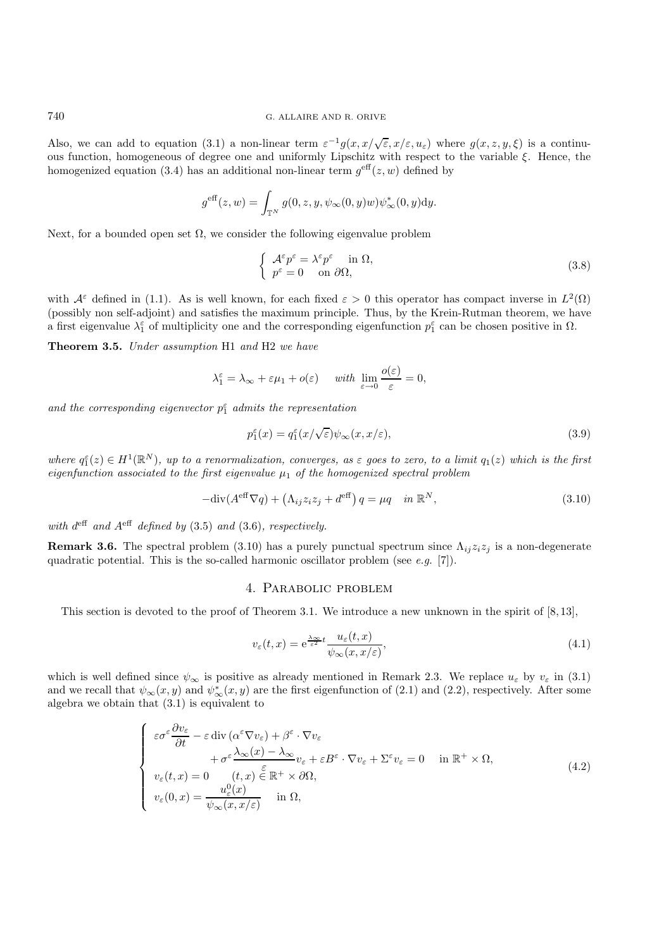Also, we can add to equation (3.1) a non-linear term  $\varepsilon^{-1}g(x, x/\sqrt{\varepsilon}, x/\varepsilon, u_{\varepsilon})$  where  $g(x, z, y, \xi)$  is a continuous function, homogeneous of degree one and uniformly Lipschitz with respect to the variable ξ. Hence, the homogenized equation (3.4) has an additional non-linear term  $g^{\text{eff}}(z,w)$  defined by

$$
g^{\text{eff}}(z,w) = \int_{\mathbb{T}^N} g(0, z, y, \psi_\infty(0, y)w) \psi_\infty^*(0, y) dy.
$$

Next, for a bounded open set  $\Omega$ , we consider the following eigenvalue problem

$$
\begin{cases}\n\mathcal{A}^{\varepsilon}p^{\varepsilon} = \lambda^{\varepsilon}p^{\varepsilon} & \text{in } \Omega, \\
p^{\varepsilon} = 0 & \text{on } \partial\Omega,\n\end{cases}
$$
\n(3.8)

with  $\mathcal{A}^{\varepsilon}$  defined in (1.1). As is well known, for each fixed  $\varepsilon > 0$  this operator has compact inverse in  $L^2(\Omega)$ (possibly non self-adjoint) and satisfies the maximum principle. Thus, by the Krein-Rutman theorem, we have a first eigenvalue  $\lambda_1^{\varepsilon}$  of multiplicity one and the corresponding eigenfunction  $p_1^{\varepsilon}$  can be chosen positive in  $\Omega$ .

**Theorem 3.5.** *Under assumption* H1 *and* H2 *we have*

$$
\lambda_1^{\varepsilon} = \lambda_{\infty} + \varepsilon \mu_1 + o(\varepsilon) \quad \text{ with } \lim_{\varepsilon \to 0} \frac{o(\varepsilon)}{\varepsilon} = 0,
$$

and the corresponding eigenvector  $p_1^{\varepsilon}$  admits the representation

$$
p_1^{\varepsilon}(x) = q_1^{\varepsilon}(x/\sqrt{\varepsilon})\psi_{\infty}(x, x/\varepsilon),
$$
\n(3.9)

 $where \ q_1^{\varepsilon}(z) \in H^1(\mathbb{R}^N)$ , up to a renormalization, converges, as  $\varepsilon$  goes to zero, to a limit  $q_1(z)$  which is the first *eigenfunction associated to the first eigenvalue*  $\mu_1$  *of the homogenized spectral problem* 

$$
-\text{div}(A^{\text{eff}}\nabla q) + (\Lambda_{ij}z_i z_j + d^{\text{eff}}) q = \mu q \quad \text{in } \mathbb{R}^N,
$$
\n(3.10)

*with*  $d^{eff}$  *and*  $A^{eff}$  *defined by* (3.5) *and* (3.6)*, respectively.* 

**Remark 3.6.** The spectral problem (3.10) has a purely punctual spectrum since  $\Lambda_{ij}z_iz_j$  is a non-degenerate quadratic potential. This is the so-called harmonic oscillator problem (see *e.g.* [7]).

### 4. Parabolic problem

This section is devoted to the proof of Theorem 3.1. We introduce a new unknown in the spirit of  $[8, 13]$ ,

$$
v_{\varepsilon}(t,x) = e^{\frac{\lambda_{\infty}}{\varepsilon^2}t} \frac{u_{\varepsilon}(t,x)}{\psi_{\infty}(x,x/\varepsilon)},
$$
\n(4.1)

which is well defined since  $\psi_{\infty}$  is positive as already mentioned in Remark 2.3. We replace  $u_{\varepsilon}$  by  $v_{\varepsilon}$  in (3.1) and we recall that  $\psi_{\infty}(x, y)$  and  $\psi_{\infty}^{*}(x, y)$  are the first eigenfunction of (2.1) and (2.2), respectively. After some algebra we obtain that (3.1) is equivalent to

$$
\begin{cases}\n\varepsilon \sigma^{\varepsilon} \frac{\partial v_{\varepsilon}}{\partial t} - \varepsilon \operatorname{div} (\alpha^{\varepsilon} \nabla v_{\varepsilon}) + \beta^{\varepsilon} \cdot \nabla v_{\varepsilon} \\
+ \sigma^{\varepsilon} \frac{\lambda_{\infty}(x) - \lambda_{\infty}}{\varepsilon} v_{\varepsilon} + \varepsilon B^{\varepsilon} \cdot \nabla v_{\varepsilon} + \Sigma^{\varepsilon} v_{\varepsilon} = 0 \quad \text{in } \mathbb{R}^{+} \times \Omega, \\
v_{\varepsilon}(t, x) = 0 \qquad (t, x) \in \mathbb{R}^{+} \times \partial \Omega, \\
v_{\varepsilon}(0, x) = \frac{u_{\varepsilon}^{0}(x)}{\psi_{\infty}(x, x/\varepsilon)} \quad \text{in } \Omega,\n\end{cases}
$$
\n(4.2)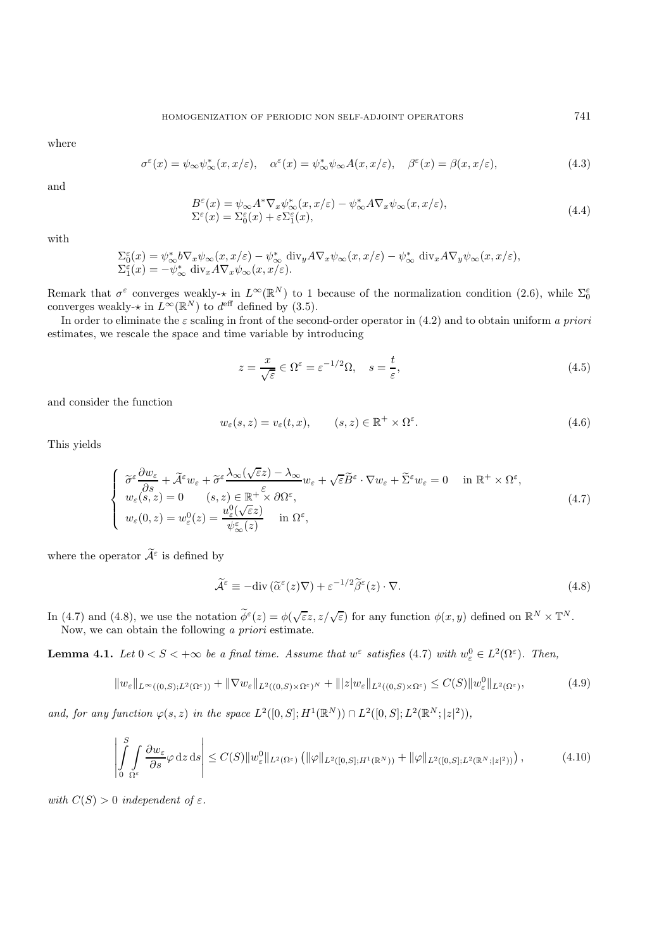where

$$
\sigma^{\varepsilon}(x) = \psi_{\infty}\psi_{\infty}^*(x, x/\varepsilon), \quad \alpha^{\varepsilon}(x) = \psi_{\infty}^*\psi_{\infty}A(x, x/\varepsilon), \quad \beta^{\varepsilon}(x) = \beta(x, x/\varepsilon), \tag{4.3}
$$

and

$$
B^{\varepsilon}(x) = \psi_{\infty} A^* \nabla_x \psi_{\infty}^*(x, x/\varepsilon) - \psi_{\infty}^* A \nabla_x \psi_{\infty}(x, x/\varepsilon),
$$
  
\n
$$
\Sigma^{\varepsilon}(x) = \Sigma_0^{\varepsilon}(x) + \varepsilon \Sigma_1^{\varepsilon}(x),
$$
\n(4.4)

with

$$
\Sigma_0^{\varepsilon}(x) = \psi_{\infty}^* b \nabla_x \psi_{\infty}(x, x/\varepsilon) - \psi_{\infty}^* \operatorname{div}_y A \nabla_x \psi_{\infty}(x, x/\varepsilon) - \psi_{\infty}^* \operatorname{div}_x A \nabla_y \psi_{\infty}(x, x/\varepsilon),
$$
  

$$
\Sigma_1^{\varepsilon}(x) = -\psi_{\infty}^* \operatorname{div}_x A \nabla_x \psi_{\infty}(x, x/\varepsilon).
$$

Remark that  $\sigma^{\varepsilon}$  converges weakly- $\star$  in  $L^{\infty}(\mathbb{R}^{N})$  to 1 because of the normalization condition (2.6), while  $\Sigma_{0}^{\varepsilon}$  converges weakly- $\star$  in  $L^{\infty}(\mathbb{R}^{N})$  to  $d^{\text{eff}}$  defined by (3.5).

In order to eliminate the ε scaling in front of the second-order operator in (4.2) and to obtain uniform *a priori* estimates, we rescale the space and time variable by introducing

$$
z = \frac{x}{\sqrt{\varepsilon}} \in \Omega^{\varepsilon} = \varepsilon^{-1/2} \Omega, \quad s = \frac{t}{\varepsilon},
$$
\n(4.5)

and consider the function

$$
w_{\varepsilon}(s, z) = v_{\varepsilon}(t, x), \qquad (s, z) \in \mathbb{R}^+ \times \Omega^{\varepsilon}.
$$
 (4.6)

This yields

$$
\begin{cases}\n\widetilde{\sigma}^{\varepsilon} \frac{\partial w_{\varepsilon}}{\partial s} + \widetilde{\mathcal{A}}^{\varepsilon} w_{\varepsilon} + \widetilde{\sigma}^{\varepsilon} \frac{\lambda_{\infty}(\sqrt{\varepsilon}z) - \lambda_{\infty}}{\varepsilon} w_{\varepsilon} + \sqrt{\varepsilon} \widetilde{B}^{\varepsilon} \cdot \nabla w_{\varepsilon} + \widetilde{\Sigma}^{\varepsilon} w_{\varepsilon} = 0 & \text{in } \mathbb{R}^{+} \times \Omega^{\varepsilon}, \\
w_{\varepsilon}(s, z) = 0 \qquad (s, z) \in \mathbb{R}^{+} \times \partial \Omega^{\varepsilon}, \\
w_{\varepsilon}(0, z) = w_{\varepsilon}^{0}(z) = \frac{u_{\varepsilon}^{0}(\sqrt{\varepsilon}z)}{\psi_{\infty}^{\varepsilon}(z)} & \text{in } \Omega^{\varepsilon},\n\end{cases} \tag{4.7}
$$

where the operator  $\widetilde{\mathcal{A}}^{\varepsilon}$  is defined by

$$
\widetilde{\mathcal{A}}^{\varepsilon} \equiv -\text{div}\left(\widetilde{\alpha}^{\varepsilon}(z)\nabla\right) + \varepsilon^{-1/2}\widetilde{\beta}^{\varepsilon}(z) \cdot \nabla. \tag{4.8}
$$

In (4.7) and (4.8), we use the notation  $\widetilde{\phi}^{\varepsilon}(z) = \phi(\sqrt{\varepsilon}z, z/\sqrt{\varepsilon})$  for any function  $\phi(x, y)$  defined on  $\mathbb{R}^N \times \mathbb{T}^N$ . Now, we can obtain the following *a priori* estimate.

**Lemma 4.1.** *Let*  $0 < S < +\infty$  *be a final time. Assume that*  $w^{\varepsilon}$  *satisfies* (4.7) *with*  $w_{\varepsilon}^{0} \in L^{2}(\Omega^{\varepsilon})$ *. Then,* 

$$
||w_{\varepsilon}||_{L^{\infty}((0,S);L^{2}(\Omega^{\varepsilon}))}+||\nabla w_{\varepsilon}||_{L^{2}((0,S)\times\Omega^{\varepsilon})^{N}}+|||z|w_{\varepsilon}||_{L^{2}((0,S)\times\Omega^{\varepsilon})}\leq C(S)||w_{\varepsilon}^{0}||_{L^{2}(\Omega^{\varepsilon})},\tag{4.9}
$$

*and, for any function*  $\varphi(s, z)$  *in the space*  $L^2([0, S]; H^1(\mathbb{R}^N)) \cap L^2([0, S]; L^2(\mathbb{R}^N; |z|^2)),$ 

$$
\left| \int_{0}^{S} \int_{\Omega^{\varepsilon}} \frac{\partial w_{\varepsilon}}{\partial s} \varphi \, \mathrm{d}z \, \mathrm{d}s \right| \leq C(S) \|w_{\varepsilon}^{0}\|_{L^{2}(\Omega^{\varepsilon})} \left( \|\varphi\|_{L^{2}([0,S];H^{1}(\mathbb{R}^{N}))} + \|\varphi\|_{L^{2}([0,S];L^{2}(\mathbb{R}^{N};|z|^{2}))} \right),\tag{4.10}
$$

*with*  $C(S) > 0$  *independent of*  $\varepsilon$ *.*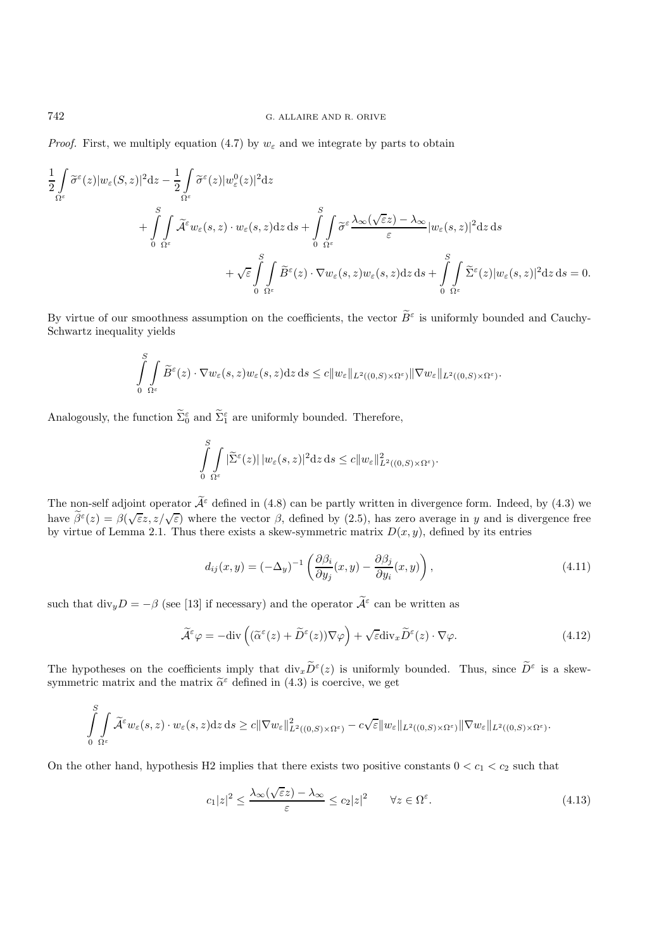*Proof.* First, we multiply equation (4.7) by  $w_{\varepsilon}$  and we integrate by parts to obtain

$$
\frac{1}{2} \int_{\Omega^{\varepsilon}} \widetilde{\sigma}^{\varepsilon}(z) |w_{\varepsilon}(S,z)|^{2} dz - \frac{1}{2} \int_{\Omega^{\varepsilon}} \widetilde{\sigma}^{\varepsilon}(z) |w_{\varepsilon}^{0}(z)|^{2} dz
$$
\n
$$
+ \int_{0}^{S} \int_{\Omega^{\varepsilon}} \widetilde{\mathcal{A}}^{\varepsilon} w_{\varepsilon}(s,z) \cdot w_{\varepsilon}(s,z) dz ds + \int_{0}^{S} \int_{\Omega^{\varepsilon}} \widetilde{\sigma}^{\varepsilon} \frac{\lambda_{\infty}(\sqrt{\varepsilon}z) - \lambda_{\infty}}{\varepsilon} |w_{\varepsilon}(s,z)|^{2} dz ds
$$
\n
$$
+ \sqrt{\varepsilon} \int_{0}^{S} \int_{\Omega^{\varepsilon}} \widetilde{B}^{\varepsilon}(z) \cdot \nabla w_{\varepsilon}(s,z) w_{\varepsilon}(s,z) dz ds + \int_{0}^{S} \int_{\Omega^{\varepsilon}} \widetilde{\Sigma}^{\varepsilon}(z) |w_{\varepsilon}(s,z)|^{2} dz ds = 0.
$$

By virtue of our smoothness assumption on the coefficients, the vector  $\widetilde{B}^{\varepsilon}$  is uniformly bounded and Cauchy-Schwartz inequality yields

$$
\int_{0}^{S} \int_{\Omega^{\varepsilon}} \widetilde{B}^{\varepsilon}(z) \cdot \nabla w_{\varepsilon}(s, z) w_{\varepsilon}(s, z) dz ds \leq c \|w_{\varepsilon}\|_{L^{2}((0, S) \times \Omega^{\varepsilon})} \|\nabla w_{\varepsilon}\|_{L^{2}((0, S) \times \Omega^{\varepsilon})}.
$$

Analogously, the function  $\Sigma_0^{\varepsilon}$  and  $\Sigma_1^{\varepsilon}$  are uniformly bounded. Therefore,

$$
\int_{0}^{S} \int_{\Omega^{\varepsilon}} |\widetilde{\Sigma}^{\varepsilon}(z)| \, |w_{\varepsilon}(s,z)|^{2} \mathrm{d}z \, \mathrm{d}s \leq c \|w_{\varepsilon}\|_{L^{2}((0,S)\times\Omega^{\varepsilon})}^{2}.
$$

The non-self adjoint operator  $\widetilde{\mathcal{A}}^{\varepsilon}$  defined in (4.8) can be partly written in divergence form. Indeed, by (4.3) we have  $\tilde{\beta}^{\varepsilon}(z) = \beta(\sqrt{\varepsilon}z, z/\sqrt{\varepsilon})$  where the vector  $\beta$ , defined by (2.5), has zero average in y and is divergence free by virtue of Lemma 2.1. Thus there exists a skew-symmetric matrix  $D(x, y)$ , defined by its entries

$$
d_{ij}(x,y) = (-\Delta_y)^{-1} \left( \frac{\partial \beta_i}{\partial y_j}(x,y) - \frac{\partial \beta_j}{\partial y_i}(x,y) \right), \tag{4.11}
$$

such that  $\text{div}_y D = -\beta$  (see [13] if necessary) and the operator  $\widetilde{\mathcal{A}}^{\varepsilon}$  can be written as

$$
\widetilde{\mathcal{A}}^{\varepsilon}\varphi = -\text{div}\left( (\widetilde{\alpha}^{\varepsilon}(z) + \widetilde{D}^{\varepsilon}(z))\nabla\varphi \right) + \sqrt{\varepsilon} \text{div}_{x} \widetilde{D}^{\varepsilon}(z) \cdot \nabla\varphi.
$$
\n(4.12)

The hypotheses on the coefficients imply that  $\text{div}_x \widetilde{D}^{\varepsilon}(z)$  is uniformly bounded. Thus, since  $\widetilde{D}^{\varepsilon}$  is a skewsymmetric matrix and the matrix  $\tilde{\alpha}^{\varepsilon}$  defined in (4.3) is coercive, we get

$$
\int_{0}^{S} \int_{\Omega^{\varepsilon}} \widetilde{\mathcal{A}}^{\varepsilon} w_{\varepsilon}(s, z) \cdot w_{\varepsilon}(s, z) \mathrm{d}z \, \mathrm{d}s \geq c \|\nabla w_{\varepsilon}\|_{L^{2}((0, S) \times \Omega^{\varepsilon})}^{2} - c\sqrt{\varepsilon} \|w_{\varepsilon}\|_{L^{2}((0, S) \times \Omega^{\varepsilon})} \|\nabla w_{\varepsilon}\|_{L^{2}((0, S) \times \Omega^{\varepsilon})}.
$$

On the other hand, hypothesis H2 implies that there exists two positive constants  $0 < c_1 < c_2$  such that

$$
c_1|z|^2 \le \frac{\lambda_\infty(\sqrt{\varepsilon}z) - \lambda_\infty}{\varepsilon} \le c_2|z|^2 \qquad \forall z \in \Omega^\varepsilon. \tag{4.13}
$$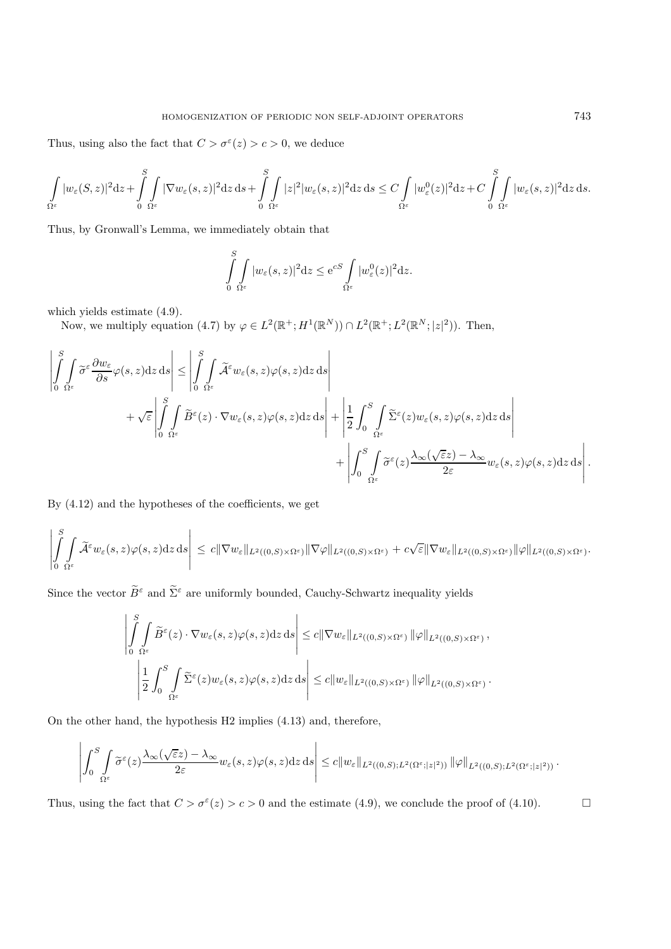Thus, using also the fact that  $C > \sigma^{\epsilon}(z) > c > 0$ , we deduce

$$
\int\limits_{\Omega^\varepsilon} |w_\varepsilon(S,z)|^2 \mathrm{d} z + \int\limits_0^S \int\limits_{\Omega^\varepsilon} |\nabla w_\varepsilon(s,z)|^2 \mathrm{d} z \, \mathrm{d} s + \int\limits_0^S \int\limits_{\Omega^\varepsilon} |z|^2 |w_\varepsilon(s,z)|^2 \mathrm{d} z \, \mathrm{d} s \leq C \int\limits_{\Omega^\varepsilon} |w^0_\varepsilon(z)|^2 \mathrm{d} z + C \int\limits_0^S \int\limits_{\Omega^\varepsilon} |w_\varepsilon(s,z)|^2 \mathrm{d} z \, \mathrm{d} s.
$$

Thus, by Gronwall's Lemma, we immediately obtain that

$$
\int_{0}^{S} \int_{\Omega^{\varepsilon}} |w_{\varepsilon}(s, z)|^{2} dz \le e^{cS} \int_{\Omega^{\varepsilon}} |w_{\varepsilon}^{0}(z)|^{2} dz.
$$

which yields estimate (4.9).

Now, we multiply equation (4.7) by  $\varphi \in L^2(\mathbb{R}^+; H^1(\mathbb{R}^N)) \cap L^2(\mathbb{R}^+; L^2(\mathbb{R}^N; |z|^2)).$  Then,

$$
\left| \int_{0}^{S} \int_{\Omega^{\varepsilon}} \tilde{\sigma}^{\varepsilon} \frac{\partial w_{\varepsilon}}{\partial s} \varphi(s, z) dz ds \right| \leq \left| \int_{0}^{S} \int_{\Omega^{\varepsilon}} \tilde{\mathcal{A}}^{\varepsilon} w_{\varepsilon}(s, z) \varphi(s, z) dz ds \right| + \left| \frac{1}{2} \int_{0}^{S} \int_{\Omega^{\varepsilon}} \tilde{\Sigma}^{\varepsilon}(z) w_{\varepsilon}(s, z) \varphi(s, z) dz ds \right| + \left| \frac{1}{2} \int_{0}^{S} \int_{\Omega^{\varepsilon}} \tilde{\Sigma}^{\varepsilon}(z) w_{\varepsilon}(s, z) \varphi(s, z) dz ds \right| + \left| \int_{0}^{S} \int_{\Omega^{\varepsilon}} \tilde{\sigma}^{\varepsilon}(z) \frac{\lambda_{\infty}(\sqrt{\varepsilon}z) - \lambda_{\infty}}{2\varepsilon} w_{\varepsilon}(s, z) \varphi(s, z) dz ds \right|.
$$

By (4.12) and the hypotheses of the coefficients, we get

$$
\left|\int\limits_0^S\int\limits_{\Omega^\varepsilon}\widetilde{\mathcal{A}}^\varepsilon w_\varepsilon(s,z)\varphi(s,z)\mathrm{d} z\,\mathrm{d} s\right|\,\leq\,c\|\nabla w_\varepsilon\|_{L^2((0,S)\times\Omega^\varepsilon)}\|\nabla\varphi\|_{L^2((0,S)\times\Omega^\varepsilon)}+c\sqrt{\varepsilon}\|\nabla w_\varepsilon\|_{L^2((0,S)\times\Omega^\varepsilon)}\|\varphi\|_{L^2((0,S)\times\Omega^\varepsilon)}.
$$

Since the vector  $\widetilde{B}^{\varepsilon}$  and  $\widetilde{\Sigma}^{\varepsilon}$  are uniformly bounded, Cauchy-Schwartz inequality yields

$$
\left| \int\limits_{0}^{S} \int\limits_{\Omega^{\varepsilon}} \widetilde{B}^{\varepsilon}(z) \cdot \nabla w_{\varepsilon}(s, z) \varphi(s, z) dz ds \right| \leq c \|\nabla w_{\varepsilon}\|_{L^{2}((0, S) \times \Omega^{\varepsilon})} \|\varphi\|_{L^{2}((0, S) \times \Omega^{\varepsilon})},
$$
  

$$
\left| \frac{1}{2} \int_{0}^{S} \int\limits_{\Omega^{\varepsilon}} \widetilde{\Sigma}^{\varepsilon}(z) w_{\varepsilon}(s, z) \varphi(s, z) dz ds \right| \leq c \|w_{\varepsilon}\|_{L^{2}((0, S) \times \Omega^{\varepsilon})} \|\varphi\|_{L^{2}((0, S) \times \Omega^{\varepsilon})}.
$$

On the other hand, the hypothesis H2 implies (4.13) and, therefore,

$$
\left|\int_0^S \int\limits_{\Omega^\varepsilon} \widetilde{\sigma}^\varepsilon(z) \frac{\lambda_\infty(\sqrt{\varepsilon} z)-\lambda_\infty}{2\varepsilon} w_\varepsilon(s,z) \varphi(s,z) \mathrm{d} z \, \mathrm{d} s \right| \leq c \|w_\varepsilon\|_{L^2((0,S);L^2(\Omega^\varepsilon;|z|^2))} \, \|\varphi\|_{L^2((0,S);L^2(\Omega^\varepsilon;|z|^2))} \, .
$$

Thus, using the fact that  $C > \sigma^{\epsilon}(z) > c > 0$  and the estimate (4.9), we conclude the proof of (4.10).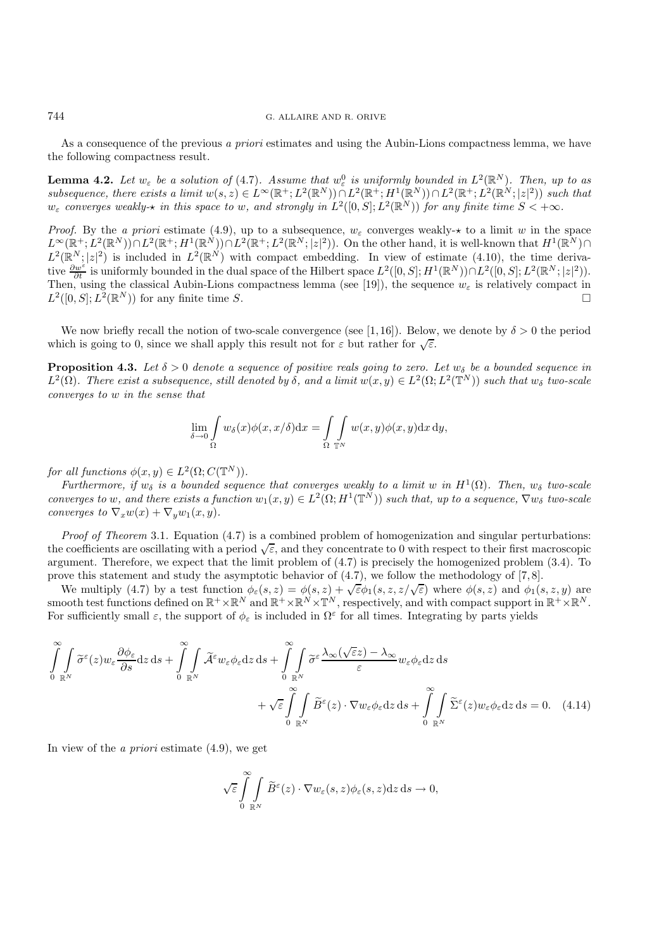As a consequence of the previous *a priori* estimates and using the Aubin-Lions compactness lemma, we have the following compactness result.

**Lemma 4.2.** Let  $w_{\varepsilon}$  be a solution of (4.7). Assume that  $w_{\varepsilon}^0$  is uniformly bounded in  $L^2(\mathbb{R}^N)$ . Then, up to as  $subsequence, there exists a limit w(s, z) \in L^{\infty}(\mathbb{R}^+; L^2(\mathbb{R}^N)) \cap L^2(\mathbb{R}^+; H^1(\mathbb{R}^N)) \cap L^2(\mathbb{R}^+; L^2(\mathbb{R}^N; |z|^2))$  *such that*  $w_{\varepsilon}$  *converges weakly-* $\star$  *in this space to* w, and strongly in  $L^2([0, S]; L^2(\mathbb{R}^N))$  for any finite time  $S < +\infty$ *.* 

*Proof.* By the *a priori* estimate (4.9), up to a subsequence,  $w_{\varepsilon}$  converges weakly- $\star$  to a limit w in the space  $L^{\infty}(\mathbb{R}^+; L^2(\mathbb{R}^N)) \cap L^2(\mathbb{R}^+; H^1(\mathbb{R}^N)) \cap L^2(\mathbb{R}^+; L^2(\mathbb{R}^N; |z|^2)).$  On the other hand, it is well-known that  $H^1(\mathbb{R}^N) \cap L^2(\mathbb{R}^+; L^2(\mathbb{R}^N; |z|^2)).$  $L^2(\mathbb{R}^N;|z|^2)$  is included in  $L^2(\mathbb{R}^N)$  with compact embedding. In view of estimate (4.10), the time derivative  $\frac{\partial w^{\varepsilon}}{\partial t}$  is uniformly bounded in the dual space of the Hilbert space  $L^2([0, S]; H^1(\mathbb{R}^N)) \cap L^2([0, S]; L^2(\mathbb{R}^N; |z|^2)).$ Then, using the classical Aubin-Lions compactness lemma (see [19]), the sequence  $w_{\varepsilon}$  is relatively compact in  $L^2([0, S]; L^2(\mathbb{R}^N))$  for any finite time S.

We now briefly recall the notion of two-scale convergence (see [1,16]). Below, we denote by  $\delta > 0$  the period which is going to 0, since we shall apply this result not for  $\varepsilon$  but rather for  $\sqrt{\varepsilon}$ .

**Proposition 4.3.** Let  $\delta > 0$  denote a sequence of positive reals going to zero. Let  $w_{\delta}$  be a bounded sequence in  $L^2(\Omega)$ *. There exist a subsequence, still denoted by*  $\delta$ *, and a limit*  $w(x, y) \in L^2(\Omega; L^2(\mathbb{T}^N))$  *such that*  $w_{\delta}$  *two-scale converges to* w *in the sense that*

$$
\lim_{\delta \to 0} \int_{\Omega} w_{\delta}(x) \phi(x, x/\delta) dx = \int_{\Omega} \int_{\mathbb{T}^N} w(x, y) \phi(x, y) dx dy,
$$

*for all functions*  $\phi(x, y) \in L^2(\Omega; C(\mathbb{T}^N))$ *.* 

*Furthermore, if*  $w_{\delta}$  *is a bounded sequence that converges weakly to a limit* w *in*  $H^1(\Omega)$ *. Then,*  $w_{\delta}$  *two-scale converges to* w, and there exists a function  $w_1(x, y) \in L^2(\Omega; H^1(\mathbb{T}^N))$  such that, up to a sequence,  $\nabla w_\delta$  two-scale *converges to*  $\nabla_x w(x) + \nabla_y w_1(x, y)$ .

*Proof of Theorem* 3.1*.* Equation (4.7) is a combined problem of homogenization and singular perturbations: the coefficients are oscillating with a period  $\sqrt{\varepsilon}$ , and they concentrate to 0 with respect to their first macroscopic argument. Therefore, we expect that the limit problem of (4.7) is precisely the homogenized problem (3.4). To prove this statement and study the asymptotic behavior of  $(4.7)$ , we follow the methodology of  $[7, 8]$ .

We multiply (4.7) by a test function  $\phi_{\varepsilon}(s, z) = \phi(s, z) + \sqrt{\varepsilon} \phi_1(s, z, z/\sqrt{\varepsilon})$  where  $\phi(s, z)$  and  $\phi_1(s, z, y)$  are smooth test functions defined on  $\mathbb{R}^+ \times \mathbb{R}^N$  and  $\mathbb{R}^+ \times \mathbb{R}^N \times \mathbb{T}^N$ , respectively, and with compact support in  $\mathbb{R}^+ \times \mathbb{R}^N$ . For sufficiently small  $\varepsilon$ , the support of  $\phi_{\varepsilon}$  is included in  $\Omega^{\varepsilon}$  for all times. Integrating by parts yields

$$
\int_{0}^{\infty} \int_{\mathbb{R}^{N}} \tilde{\sigma}^{\varepsilon}(z) w_{\varepsilon} \frac{\partial \phi_{\varepsilon}}{\partial s} \mathrm{d}z \, \mathrm{d}s + \int_{0}^{\infty} \int_{\mathbb{R}^{N}} \tilde{\mathcal{A}}^{\varepsilon} w_{\varepsilon} \phi_{\varepsilon} \mathrm{d}z \, \mathrm{d}s + \int_{0}^{\infty} \int_{\mathbb{R}^{N}} \tilde{\sigma}^{\varepsilon} \frac{\lambda_{\infty}(\sqrt{\varepsilon}z) - \lambda_{\infty}}{\varepsilon} w_{\varepsilon} \phi_{\varepsilon} \mathrm{d}z \, \mathrm{d}s + \int_{0}^{\infty} \int_{\mathbb{R}^{N}} \tilde{\Sigma}^{\varepsilon}(z) w_{\varepsilon} \phi_{\varepsilon} \mathrm{d}z \, \mathrm{d}s = 0. \quad (4.14)
$$

In view of the *a priori* estimate (4.9), we get

$$
\sqrt{\varepsilon} \int\limits_{0}^{\infty} \int\limits_{\mathbb{R}^N} \widetilde{B}^{\varepsilon}(z) \cdot \nabla w_{\varepsilon}(s,z) \phi_{\varepsilon}(s,z) \mathrm{d} z \, \mathrm{d} s \to 0,
$$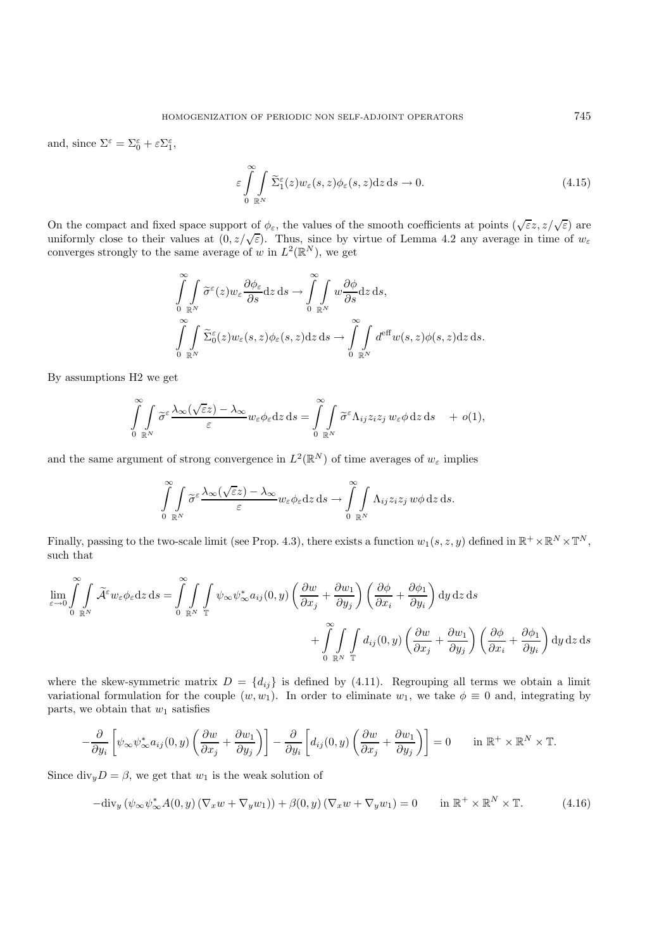and, since  $\Sigma^{\varepsilon} = \Sigma_0^{\varepsilon} + \varepsilon \Sigma_1^{\varepsilon}$ ,

$$
\varepsilon \int_{0}^{\infty} \int_{\mathbb{R}^N} \widetilde{\Sigma}_1^{\varepsilon}(z) w_{\varepsilon}(s, z) \phi_{\varepsilon}(s, z) dz ds \to 0.
$$
 (4.15)

On the compact and fixed space support of  $\phi_{\varepsilon}$ , the values of the smooth coefficients at points  $(\sqrt{\varepsilon}z, z/\sqrt{\varepsilon})$  are uniformly close to their values at  $(0, z/\sqrt{\varepsilon})$ . Thus, since by virtue of Lemma 4.2 any average in time of  $w_{\varepsilon}$ converges strongly to the same average of w in  $L^2(\mathbb{R}^N)$ , we get

$$
\int_{0}^{\infty} \int_{\mathbb{R}^N} \widetilde{\sigma}^{\varepsilon}(z) w_{\varepsilon} \frac{\partial \phi_{\varepsilon}}{\partial s} dz ds \to \int_{0}^{\infty} \int_{\mathbb{R}^N} w \frac{\partial \phi}{\partial s} dz ds,
$$
  

$$
\int_{0}^{\infty} \int_{\mathbb{R}^N} \widetilde{\Sigma}_{0}^{\varepsilon}(z) w_{\varepsilon}(s, z) \phi_{\varepsilon}(s, z) dz ds \to \int_{0}^{\infty} \int_{\mathbb{R}^N} d^{\text{eff}} w(s, z) \phi(s, z) dz ds.
$$

By assumptions H2 we get

$$
\int_{0}^{\infty} \int_{\mathbb{R}^N} \widetilde{\sigma}^{\varepsilon} \frac{\lambda_{\infty}(\sqrt{\varepsilon}z) - \lambda_{\infty}}{\varepsilon} w_{\varepsilon} \phi_{\varepsilon} dz ds = \int_{0}^{\infty} \int_{\mathbb{R}^N} \widetilde{\sigma}^{\varepsilon} \Lambda_{ij} z_i z_j w_{\varepsilon} \phi dz ds + o(1),
$$

and the same argument of strong convergence in  $L^2(\mathbb{R}^N)$  of time averages of  $w_{\varepsilon}$  implies

$$
\int_{0}^{\infty} \int_{\mathbb{R}^N} \widetilde{\sigma}^{\varepsilon} \frac{\lambda_{\infty}(\sqrt{\varepsilon}z) - \lambda_{\infty}}{\varepsilon} w_{\varepsilon} \phi_{\varepsilon} dz ds \to \int_{0}^{\infty} \int_{\mathbb{R}^N} \Lambda_{ij} z_i z_j w \phi dz ds.
$$

Finally, passing to the two-scale limit (see Prop. 4.3), there exists a function  $w_1(s, z, y)$  defined in  $\mathbb{R}^+ \times \mathbb{R}^N \times \mathbb{T}^N$ , such that

$$
\lim_{\varepsilon \to 0} \int_{0}^{\infty} \int_{\mathbb{R}^N} \tilde{\mathcal{A}}^{\varepsilon} w_{\varepsilon} \phi_{\varepsilon} dz ds = \int_{0}^{\infty} \int_{\mathbb{R}^N} \int_{\mathbb{T}} \psi_{\infty} \psi_{\infty}^* a_{ij}(0, y) \left( \frac{\partial w}{\partial x_j} + \frac{\partial w_1}{\partial y_j} \right) \left( \frac{\partial \phi}{\partial x_i} + \frac{\partial \phi_1}{\partial y_i} \right) dy dz ds + \int_{0}^{\infty} \int_{\mathbb{R}^N} \int_{\mathbb{T}} d_{ij}(0, y) \left( \frac{\partial w}{\partial x_j} + \frac{\partial w_1}{\partial y_j} \right) \left( \frac{\partial \phi}{\partial x_i} + \frac{\partial \phi_1}{\partial y_i} \right) dy dz ds
$$

where the skew-symmetric matrix  $D = \{d_{ij}\}\$ is defined by (4.11). Regrouping all terms we obtain a limit variational formulation for the couple  $(w, w_1)$ . In order to eliminate  $w_1$ , we take  $\phi \equiv 0$  and, integrating by parts, we obtain that  $w_1$  satisfies

$$
-\frac{\partial}{\partial y_i} \left[ \psi_\infty \psi^*_{\infty} a_{ij}(0, y) \left( \frac{\partial w}{\partial x_j} + \frac{\partial w_1}{\partial y_j} \right) \right] - \frac{\partial}{\partial y_i} \left[ d_{ij}(0, y) \left( \frac{\partial w}{\partial x_j} + \frac{\partial w_1}{\partial y_j} \right) \right] = 0 \quad \text{in } \mathbb{R}^+ \times \mathbb{R}^N \times \mathbb{T}.
$$

Since div<sub>y</sub> $D = \beta$ , we get that  $w_1$  is the weak solution of

$$
-\text{div}_y\left(\psi_\infty\psi_\infty^*A(0,y)\left(\nabla_x w + \nabla_y w_1\right)\right) + \beta(0,y)\left(\nabla_x w + \nabla_y w_1\right) = 0 \quad \text{in } \mathbb{R}^+ \times \mathbb{R}^N \times \mathbb{T}.\tag{4.16}
$$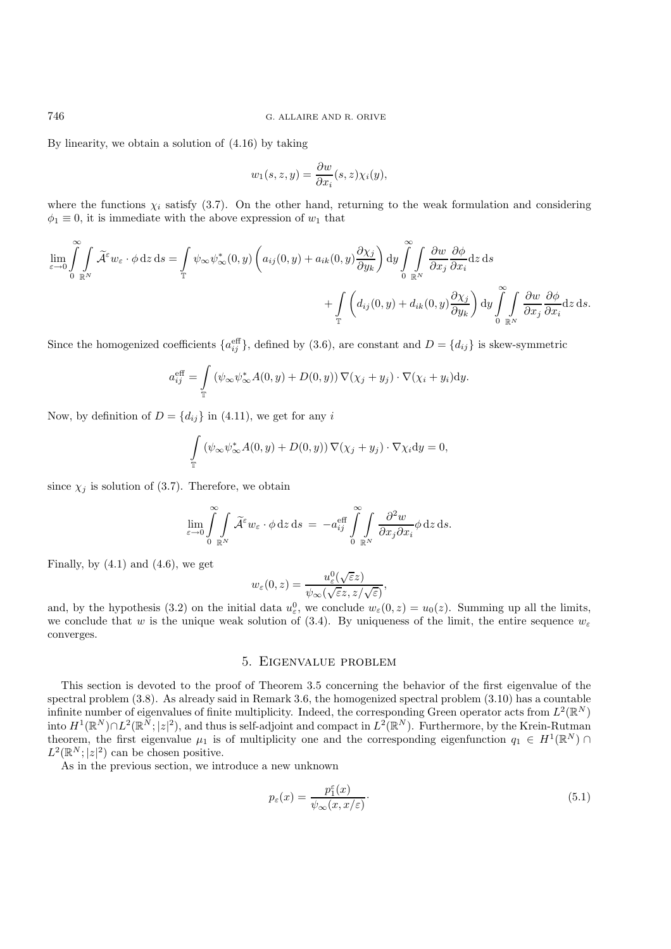By linearity, we obtain a solution of (4.16) by taking

$$
w_1(s, z, y) = \frac{\partial w}{\partial x_i}(s, z) \chi_i(y),
$$

where the functions  $\chi_i$  satisfy (3.7). On the other hand, returning to the weak formulation and considering  $\phi_1 \equiv 0$ , it is immediate with the above expression of  $w_1$  that

$$
\lim_{\varepsilon \to 0} \int_{0}^{\infty} \int_{\mathbb{R}^N} \widetilde{\mathcal{A}}^{\varepsilon} w_{\varepsilon} \cdot \phi \, dz \, ds = \int_{\mathbb{T}} \psi_{\infty} \psi_{\infty}^*(0, y) \left( a_{ij}(0, y) + a_{ik}(0, y) \frac{\partial \chi_j}{\partial y_k} \right) dy \int_{0}^{\infty} \int_{\mathbb{R}^N} \frac{\partial w}{\partial x_j} \frac{\partial \phi}{\partial x_i} dz \, ds + \int_{\mathbb{T}} \left( d_{ij}(0, y) + d_{ik}(0, y) \frac{\partial \chi_j}{\partial y_k} \right) dy \int_{0}^{\infty} \int_{\mathbb{R}^N} \frac{\partial w}{\partial x_j} \frac{\partial \phi}{\partial x_i} dz \, ds.
$$

Since the homogenized coefficients  $\{a_{ij}^{\text{eff}}\}$ , defined by (3.6), are constant and  $D = \{d_{ij}\}\$ is skew-symmetric

$$
a_{ij}^{\text{eff}} = \int_{\mathbb{T}} (\psi_{\infty} \psi_{\infty}^* A(0, y) + D(0, y)) \nabla (\chi_j + y_j) \cdot \nabla (\chi_i + y_i) dy.
$$

Now, by definition of  $D = \{d_{ij}\}\$ in (4.11), we get for any i

$$
\int_{\mathbb{T}} \left( \psi_{\infty} \psi_{\infty}^* A(0, y) + D(0, y) \right) \nabla(\chi_j + y_j) \cdot \nabla \chi_i \mathrm{d}y = 0,
$$

since  $\chi_j$  is solution of (3.7). Therefore, we obtain

$$
\lim_{\varepsilon \to 0} \int_{0}^{\infty} \int_{\mathbb{R}^N} \widetilde{\mathcal{A}}^{\varepsilon} w_{\varepsilon} \cdot \phi \,dz \,ds = -a_{ij}^{\text{eff}} \int_{0}^{\infty} \int_{\mathbb{R}^N} \frac{\partial^2 w}{\partial x_j \partial x_i} \phi \,dz \,ds.
$$

Finally, by  $(4.1)$  and  $(4.6)$ , we get

$$
w_{\varepsilon}(0,z) = \frac{u_{\varepsilon}^0(\sqrt{\varepsilon}z)}{\psi_{\infty}(\sqrt{\varepsilon}z, z/\sqrt{\varepsilon})},
$$

and, by the hypothesis (3.2) on the initial data  $u_{\varepsilon}^0$ , we conclude  $w_{\varepsilon}(0, z) = u_0(z)$ . Summing up all the limits, we conclude that w is the unique weak solution of (3.4). By uniqueness of the limit, the entire sequence  $w_{\varepsilon}$ converges.

# 5. Eigenvalue problem

This section is devoted to the proof of Theorem 3.5 concerning the behavior of the first eigenvalue of the spectral problem (3.8). As already said in Remark 3.6, the homogenized spectral problem (3.10) has a countable infinite number of eigenvalues of finite multiplicity. Indeed, the corresponding Green operator acts from  $L^2(\mathbb{R}^N)$ into  $H^1(\mathbb{R}^N) \cap L^2(\mathbb{R}^N; |z|^2)$ , and thus is self-adjoint and compact in  $L^2(\mathbb{R}^N)$ . Furthermore, by the Krein-Rutman theorem, the first eigenvalue  $\mu_1$  is of multiplicity one and the corresponding eigenfunction  $q_1 \in H^1(\mathbb{R}^N)$  $L^2(\mathbb{R}^N;|z|^2)$  can be chosen positive.

As in the previous section, we introduce a new unknown

$$
p_{\varepsilon}(x) = \frac{p_1^{\varepsilon}(x)}{\psi_{\infty}(x, x/\varepsilon)}.
$$
\n(5.1)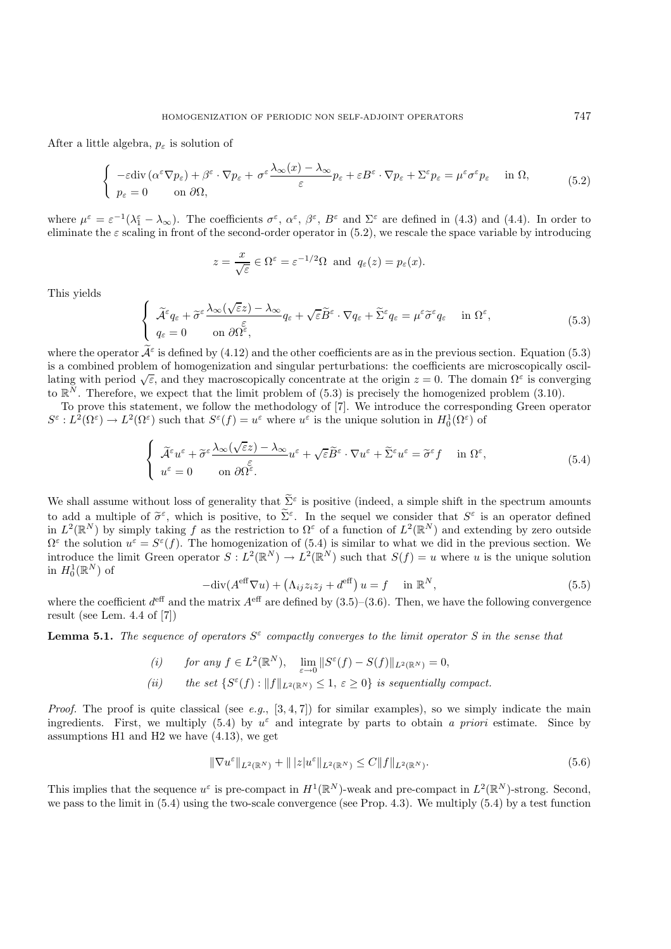After a little algebra,  $p_{\varepsilon}$  is solution of

$$
\begin{cases}\n-\varepsilon \operatorname{div} \left( \alpha^{\varepsilon} \nabla p_{\varepsilon} \right) + \beta^{\varepsilon} \cdot \nabla p_{\varepsilon} + \sigma^{\varepsilon} \frac{\lambda_{\infty}(x) - \lambda_{\infty}}{\varepsilon} p_{\varepsilon} + \varepsilon B^{\varepsilon} \cdot \nabla p_{\varepsilon} + \Sigma^{\varepsilon} p_{\varepsilon} = \mu^{\varepsilon} \sigma^{\varepsilon} p_{\varepsilon} & \text{in } \Omega, \\
p_{\varepsilon} = 0 & \text{on } \partial \Omega,\n\end{cases}\n\tag{5.2}
$$

where  $\mu^{\varepsilon} = \varepsilon^{-1}(\lambda_1^{\varepsilon} - \lambda_{\infty})$ . The coefficients  $\sigma^{\varepsilon}$ ,  $\alpha^{\varepsilon}$ ,  $\beta^{\varepsilon}$ ,  $B^{\varepsilon}$  and  $\Sigma^{\varepsilon}$  are defined in (4.3) and (4.4). In order to eliminate the  $\varepsilon$  scaling in front of the second-order operator in (5.2), we rescale the space variable by introducing

$$
z = \frac{x}{\sqrt{\varepsilon}} \in \Omega^{\varepsilon} = \varepsilon^{-1/2} \Omega
$$
 and  $q_{\varepsilon}(z) = p_{\varepsilon}(x)$ .

This yields

$$
\begin{cases}\n\widetilde{\mathcal{A}}^{\varepsilon}q_{\varepsilon} + \widetilde{\sigma}^{\varepsilon}\frac{\lambda_{\infty}(\sqrt{\varepsilon}z) - \lambda_{\infty}}{\varepsilon}q_{\varepsilon} + \sqrt{\varepsilon}\widetilde{B}^{\varepsilon}\cdot\nabla q_{\varepsilon} + \widetilde{\Sigma}^{\varepsilon}q_{\varepsilon} = \mu^{\varepsilon}\widetilde{\sigma}^{\varepsilon}q_{\varepsilon} & \text{in } \Omega^{\varepsilon}, \\
q_{\varepsilon} = 0 & \text{on } \partial\Omega^{\varepsilon},\n\end{cases}
$$
\n(5.3)

where the operator  $\tilde{\mathcal{A}}^{\varepsilon}$  is defined by (4.12) and the other coefficients are as in the previous section. Equation (5.3) is a combined problem of homogenization and singular perturbations: the coefficients are microscopically oscillating with period  $\sqrt{\varepsilon}$ , and they macroscopically concentrate at the origin  $z = 0$ . The domain  $\Omega^{\varepsilon}$  is converging to  $\mathbb{R}^N$ . Therefore, we expect that the limit problem of (5.3) is precisely the homogenized problem (3.10).

To prove this statement, we follow the methodology of [7]. We introduce the corresponding Green operator  $S^{\varepsilon}: L^2(\Omega^{\varepsilon}) \to L^2(\Omega^{\varepsilon})$  such that  $S^{\varepsilon}(f) = u^{\varepsilon}$  where  $u^{\varepsilon}$  is the unique solution in  $H_0^1(\Omega^{\varepsilon})$  of

$$
\begin{cases}\n\widetilde{\mathcal{A}}^{\varepsilon}u^{\varepsilon} + \widetilde{\sigma}^{\varepsilon}\frac{\lambda_{\infty}(\sqrt{\varepsilon}z) - \lambda_{\infty}}{\varepsilon}u^{\varepsilon} + \sqrt{\varepsilon}\widetilde{B}^{\varepsilon}\cdot\nabla u^{\varepsilon} + \widetilde{\Sigma}^{\varepsilon}u^{\varepsilon} = \widetilde{\sigma}^{\varepsilon}f & \text{in } \Omega^{\varepsilon}, \\
u^{\varepsilon} = 0 & \text{on } \partial\Omega^{\varepsilon}.\n\end{cases}
$$
\n(5.4)

We shall assume without loss of generality that  $\tilde{\Sigma}^{\varepsilon}$  is positive (indeed, a simple shift in the spectrum amounts to add a multiple of  $\tilde{\sigma}^{\varepsilon}$ , which is positive, to  $\tilde{\Sigma}^{\varepsilon}$ . In the sequel we consider that  $S^{\varepsilon}$  is an operator defined in  $L^2(\mathbb{R}^N)$  by simply taking f as the restriction to  $\Omega^{\varepsilon}$  of a function of  $L^2(\mathbb{R}^N)$  and extending by zero outside  $\Omega^{\varepsilon}$  the solution  $u^{\varepsilon} = S^{\varepsilon}(f)$ . The homogenization of (5.4) is similar to what we did in the previous section. We introduce the limit Green operator  $S: L^2(\mathbb{R}^N) \to L^2(\mathbb{R}^N)$  such that  $S(f) = u$  where u is the unique solution in  $H_0^1(\mathbb{R}^N)$  of

$$
-\text{div}(A^{\text{eff}}\nabla u) + (\Lambda_{ij}z_iz_j + d^{\text{eff}})u = f \quad \text{in } \mathbb{R}^N,
$$
\n(5.5)

where the coefficient  $d^{\text{eff}}$  and the matrix  $A^{\text{eff}}$  are defined by (3.5)–(3.6). Then, we have the following convergence result (see Lem. 4.4 of [7])

**Lemma 5.1.** *The sequence of operators*  $S^{\varepsilon}$  *compactly converges to the limit operator* S in the sense that

*(i)* for any  $f \in L^2(\mathbb{R}^N)$ ,  $\lim_{\varepsilon \to 0} ||S^{\varepsilon}(f) - S(f)||_{L^2(\mathbb{R}^N)} = 0$ , (*ii*) the set  $\{S^{\varepsilon}(f) : ||f||_{L^{2}(\mathbb{R}^{N})} \leq 1, \varepsilon \geq 0\}$  *is sequentially compact.* 

*Proof.* The proof is quite classical (see *e.g.*, [3, 4, 7]) for similar examples), so we simply indicate the main ingredients. First, we multiply (5.4) by  $u^{\varepsilon}$  and integrate by parts to obtain *a priori* estimate. Since by assumptions H1 and H2 we have (4.13), we get

$$
\|\nabla u^{\varepsilon}\|_{L^{2}(\mathbb{R}^{N})} + \| |z| u^{\varepsilon}\|_{L^{2}(\mathbb{R}^{N})} \leq C \|f\|_{L^{2}(\mathbb{R}^{N})}.
$$
\n
$$
(5.6)
$$

This implies that the sequence  $u^{\varepsilon}$  is pre-compact in  $H^1(\mathbb{R}^N)$ -weak and pre-compact in  $L^2(\mathbb{R}^N)$ -strong. Second, we pass to the limit in (5.4) using the two-scale convergence (see Prop. 4.3). We multiply (5.4) by a test function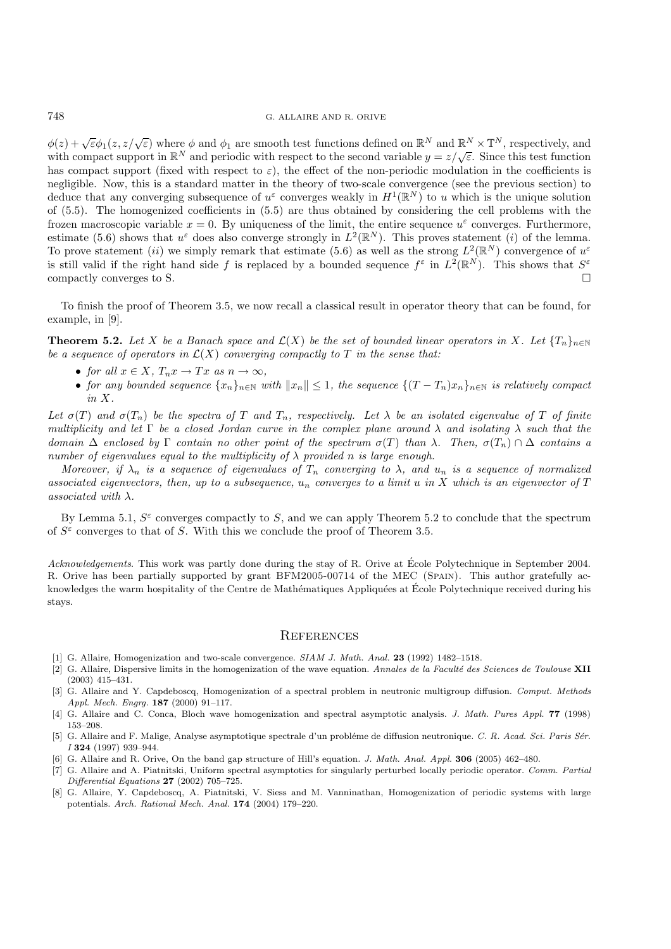$\phi(z) + \sqrt{\varepsilon} \phi_1(z, z/\sqrt{\varepsilon})$  where  $\phi$  and  $\phi_1$  are smooth test functions defined on  $\mathbb{R}^N$  and  $\mathbb{R}^N \times \mathbb{T}^N$ , respectively, and with compact support in  $\mathbb{R}^N$  and periodic with respect to the second variable  $y = z/\sqrt{\varepsilon}$ . Since this test function has compact support (fixed with respect to  $\varepsilon$ ), the effect of the non-periodic modulation in the coefficients is negligible. Now, this is a standard matter in the theory of two-scale convergence (see the previous section) to deduce that any converging subsequence of  $u^{\varepsilon}$  converges weakly in  $H^1(\mathbb{R}^N)$  to u which is the unique solution of (5.5). The homogenized coefficients in (5.5) are thus obtained by considering the cell problems with the frozen macroscopic variable  $x = 0$ . By uniqueness of the limit, the entire sequence  $u^{\varepsilon}$  converges. Furthermore, estimate (5.6) shows that  $u^{\varepsilon}$  does also converge strongly in  $L^2(\mathbb{R}^N)$ . This proves statement (i) of the lemma. To prove statement (ii) we simply remark that estimate (5.6) as well as the strong  $L^2(\mathbb{R}^N)$  convergence of  $u^{\varepsilon}$ is still valid if the right hand side f is replaced by a bounded sequence  $f^{\varepsilon}$  in  $L^2(\mathbb{R}^N)$ . This shows that  $S^{\varepsilon}$ compactly converges to S.

To finish the proof of Theorem 3.5, we now recall a classical result in operator theory that can be found, for example, in [9].

**Theorem 5.2.** *Let* X *be a Banach space and*  $\mathcal{L}(X)$  *be the set of bounded linear operators in* X. Let  $\{T_n\}_{n\in\mathbb{N}}$ *be a sequence of operators in*  $\mathcal{L}(X)$  *converging compactly to*  $T$  *in the sense that:* 

- *for all*  $x \in X$ ,  $T_n x \to Tx$  *as*  $n \to \infty$ ,
- *for any bounded sequence*  $\{x_n\}_{n\in\mathbb{N}}$  *with*  $||x_n|| \leq 1$ *, the sequence*  $\{(T-T_n)x_n\}_{n\in\mathbb{N}}$  *is relatively compact in* X*.*

Let  $\sigma(T)$  and  $\sigma(T_n)$  be the spectra of T and  $T_n$ , respectively. Let  $\lambda$  be an isolated eigenvalue of T of finite *multiplicity and let* Γ *be a closed Jordan curve in the complex plane around* λ *and isolating* λ *such that the domain*  $\Delta$  *enclosed by*  $\Gamma$  *contain no other point of the spectrum*  $\sigma(T)$  *than*  $\lambda$ *. Then,*  $\sigma(T_n) \cap \Delta$  *contains a number of eigenvalues equal to the multiplicity of* λ *provided* n *is large enough.*

*Moreover, if*  $\lambda_n$  *is a sequence of eigenvalues of*  $T_n$  *converging to*  $\lambda$ *, and*  $u_n$  *is a sequence of normalized associated eigenvectors, then, up to a subsequence,* u<sup>n</sup> *converges to a limit* u *in* X *which is an eigenvector of* T *associated with* λ*.*

By Lemma 5.1,  $S^{\varepsilon}$  converges compactly to S, and we can apply Theorem 5.2 to conclude that the spectrum of  $S^{\varepsilon}$  converges to that of S. With this we conclude the proof of Theorem 3.5.

*Acknowledgements*. This work was partly done during the stay of R. Orive at École Polytechnique in September 2004. R. Orive has been partially supported by grant BFM2005-00714 of the MEC (SPAIN). This author gratefully acknowledges the warm hospitality of the Centre de Mathématiques Appliquées at École Polytechnique received during his stays.

#### **REFERENCES**

- [1] G. Allaire, Homogenization and two-scale convergence. SIAM J. Math. Anal. **23** (1992) 1482–1518.
- [2] G. Allaire, Dispersive limits in the homogenization of the wave equation. Annales de la Facult´e des Sciences de Toulouse **XII** (2003) 415–431.
- [3] G. Allaire and Y. Capdeboscq, Homogenization of a spectral problem in neutronic multigroup diffusion. Comput. Methods Appl. Mech. Engrg. **187** (2000) 91–117.
- [4] G. Allaire and C. Conca, Bloch wave homogenization and spectral asymptotic analysis. J. Math. Pures Appl. **77** (1998) 153–208.
- [5] G. Allaire and F. Malige, Analyse asymptotique spectrale d'un probléme de diffusion neutronique. C. R. Acad. Sci. Paris Sér. I **324** (1997) 939–944.
- [6] G. Allaire and R. Orive, On the band gap structure of Hill's equation. J. Math. Anal. Appl. **306** (2005) 462–480.
- [7] G. Allaire and A. Piatnitski, Uniform spectral asymptotics for singularly perturbed locally periodic operator. Comm. Partial Differential Equations **27** (2002) 705–725.
- [8] G. Allaire, Y. Capdeboscq, A. Piatnitski, V. Siess and M. Vanninathan, Homogenization of periodic systems with large potentials. Arch. Rational Mech. Anal. **174** (2004) 179–220.